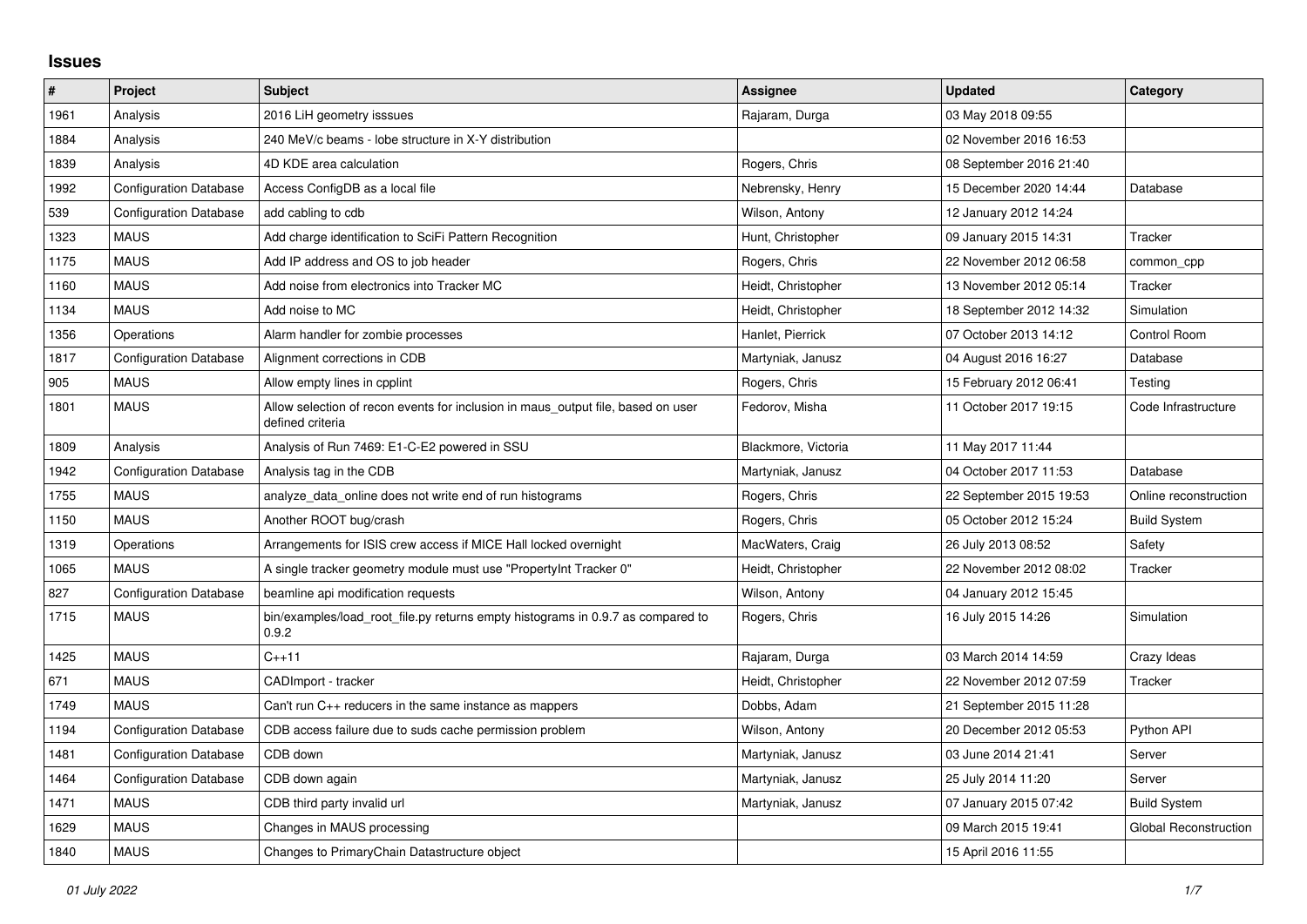## **Issues**

| $\vert$ # | Project                       | <b>Subject</b>                                                                                       | <b>Assignee</b>     | <b>Updated</b>          | Category                     |
|-----------|-------------------------------|------------------------------------------------------------------------------------------------------|---------------------|-------------------------|------------------------------|
| 1961      | Analysis                      | 2016 LiH geometry isssues                                                                            | Rajaram, Durga      | 03 May 2018 09:55       |                              |
| 1884      | Analysis                      | 240 MeV/c beams - lobe structure in X-Y distribution                                                 |                     | 02 November 2016 16:53  |                              |
| 1839      | Analysis                      | 4D KDE area calculation                                                                              | Rogers, Chris       | 08 September 2016 21:40 |                              |
| 1992      | <b>Configuration Database</b> | Access ConfigDB as a local file                                                                      | Nebrensky, Henry    | 15 December 2020 14:44  | Database                     |
| 539       | <b>Configuration Database</b> | add cabling to cdb                                                                                   | Wilson, Antony      | 12 January 2012 14:24   |                              |
| 1323      | <b>MAUS</b>                   | Add charge identification to SciFi Pattern Recognition                                               | Hunt, Christopher   | 09 January 2015 14:31   | Tracker                      |
| 1175      | <b>MAUS</b>                   | Add IP address and OS to job header                                                                  | Rogers, Chris       | 22 November 2012 06:58  | common cpp                   |
| 1160      | <b>MAUS</b>                   | Add noise from electronics into Tracker MC                                                           | Heidt, Christopher  | 13 November 2012 05:14  | Tracker                      |
| 1134      | <b>MAUS</b>                   | Add noise to MC                                                                                      | Heidt, Christopher  | 18 September 2012 14:32 | Simulation                   |
| 1356      | Operations                    | Alarm handler for zombie processes                                                                   | Hanlet, Pierrick    | 07 October 2013 14:12   | Control Room                 |
| 1817      | Configuration Database        | Alignment corrections in CDB                                                                         | Martyniak, Janusz   | 04 August 2016 16:27    | Database                     |
| 905       | MAUS                          | Allow empty lines in cpplint                                                                         | Rogers, Chris       | 15 February 2012 06:41  | Testing                      |
| 1801      | <b>MAUS</b>                   | Allow selection of recon events for inclusion in maus output file, based on user<br>defined criteria | Fedorov, Misha      | 11 October 2017 19:15   | Code Infrastructure          |
| 1809      | Analysis                      | Analysis of Run 7469: E1-C-E2 powered in SSU                                                         | Blackmore, Victoria | 11 May 2017 11:44       |                              |
| 1942      | <b>Configuration Database</b> | Analysis tag in the CDB                                                                              | Martyniak, Janusz   | 04 October 2017 11:53   | Database                     |
| 1755      | <b>MAUS</b>                   | analyze data online does not write end of run histograms                                             | Rogers, Chris       | 22 September 2015 19:53 | Online reconstruction        |
| 1150      | <b>MAUS</b>                   | Another ROOT bug/crash                                                                               | Rogers, Chris       | 05 October 2012 15:24   | <b>Build System</b>          |
| 1319      | Operations                    | Arrangements for ISIS crew access if MICE Hall locked overnight                                      | MacWaters, Craig    | 26 July 2013 08:52      | Safety                       |
| 1065      | <b>MAUS</b>                   | A single tracker geometry module must use "PropertyInt Tracker 0"                                    | Heidt, Christopher  | 22 November 2012 08:02  | Tracker                      |
| 827       | <b>Configuration Database</b> | beamline api modification requests                                                                   | Wilson, Antony      | 04 January 2012 15:45   |                              |
| 1715      | <b>MAUS</b>                   | bin/examples/load root file.py returns empty histograms in 0.9.7 as compared to<br>0.9.2             | Rogers, Chris       | 16 July 2015 14:26      | Simulation                   |
| 1425      | <b>MAUS</b>                   | $C_{++}11$                                                                                           | Rajaram, Durga      | 03 March 2014 14:59     | Crazy Ideas                  |
| 671       | <b>MAUS</b>                   | CADImport - tracker                                                                                  | Heidt, Christopher  | 22 November 2012 07:59  | Tracker                      |
| 1749      | <b>MAUS</b>                   | Can't run C++ reducers in the same instance as mappers                                               | Dobbs, Adam         | 21 September 2015 11:28 |                              |
| 1194      | <b>Configuration Database</b> | CDB access failure due to suds cache permission problem                                              | Wilson, Antony      | 20 December 2012 05:53  | Python API                   |
| 1481      | <b>Configuration Database</b> | CDB down                                                                                             | Martyniak, Janusz   | 03 June 2014 21:41      | Server                       |
| 1464      | <b>Configuration Database</b> | CDB down again                                                                                       | Martyniak, Janusz   | 25 July 2014 11:20      | Server                       |
| 1471      | <b>MAUS</b>                   | CDB third party invalid url                                                                          | Martyniak, Janusz   | 07 January 2015 07:42   | <b>Build System</b>          |
| 1629      | <b>MAUS</b>                   | Changes in MAUS processing                                                                           |                     | 09 March 2015 19:41     | <b>Global Reconstruction</b> |
| 1840      | <b>MAUS</b>                   | Changes to PrimaryChain Datastructure object                                                         |                     | 15 April 2016 11:55     |                              |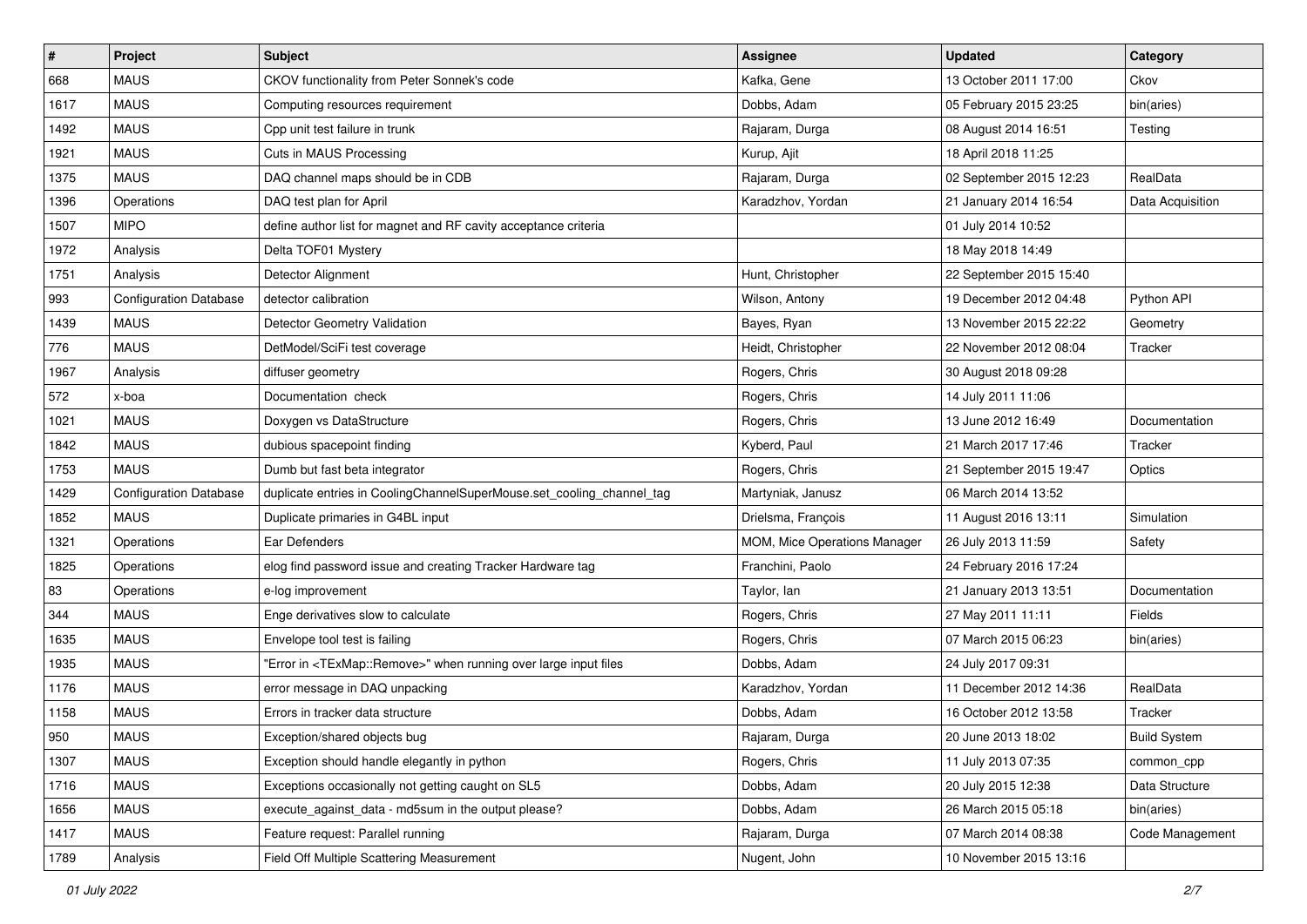| $\sharp$ | Project                       | <b>Subject</b>                                                                   | <b>Assignee</b>              | <b>Updated</b>          | Category            |
|----------|-------------------------------|----------------------------------------------------------------------------------|------------------------------|-------------------------|---------------------|
| 668      | <b>MAUS</b>                   | CKOV functionality from Peter Sonnek's code                                      | Kafka, Gene                  | 13 October 2011 17:00   | Ckov                |
| 1617     | <b>MAUS</b>                   | Computing resources requirement                                                  | Dobbs, Adam                  | 05 February 2015 23:25  | bin(aries)          |
| 1492     | <b>MAUS</b>                   | Cpp unit test failure in trunk                                                   | Rajaram, Durga               | 08 August 2014 16:51    | Testing             |
| 1921     | <b>MAUS</b>                   | Cuts in MAUS Processing                                                          | Kurup, Ajit                  | 18 April 2018 11:25     |                     |
| 1375     | <b>MAUS</b>                   | DAQ channel maps should be in CDB                                                | Rajaram, Durga               | 02 September 2015 12:23 | RealData            |
| 1396     | Operations                    | DAQ test plan for April                                                          | Karadzhov, Yordan            | 21 January 2014 16:54   | Data Acquisition    |
| 1507     | <b>MIPO</b>                   | define author list for magnet and RF cavity acceptance criteria                  |                              | 01 July 2014 10:52      |                     |
| 1972     | Analysis                      | Delta TOF01 Mystery                                                              |                              | 18 May 2018 14:49       |                     |
| 1751     | Analysis                      | Detector Alignment                                                               | Hunt, Christopher            | 22 September 2015 15:40 |                     |
| 993      | <b>Configuration Database</b> | detector calibration                                                             | Wilson, Antony               | 19 December 2012 04:48  | Python API          |
| 1439     | <b>MAUS</b>                   | Detector Geometry Validation                                                     | Bayes, Ryan                  | 13 November 2015 22:22  | Geometry            |
| 776      | <b>MAUS</b>                   | DetModel/SciFi test coverage                                                     | Heidt, Christopher           | 22 November 2012 08:04  | Tracker             |
| 1967     | Analysis                      | diffuser geometry                                                                | Rogers, Chris                | 30 August 2018 09:28    |                     |
| 572      | x-boa                         | Documentation check                                                              | Rogers, Chris                | 14 July 2011 11:06      |                     |
| 1021     | <b>MAUS</b>                   | Doxygen vs DataStructure                                                         | Rogers, Chris                | 13 June 2012 16:49      | Documentation       |
| 1842     | <b>MAUS</b>                   | dubious spacepoint finding                                                       | Kyberd, Paul                 | 21 March 2017 17:46     | Tracker             |
| 1753     | <b>MAUS</b>                   | Dumb but fast beta integrator                                                    | Rogers, Chris                | 21 September 2015 19:47 | Optics              |
| 1429     | <b>Configuration Database</b> | duplicate entries in CoolingChannelSuperMouse.set_cooling_channel_tag            | Martyniak, Janusz            | 06 March 2014 13:52     |                     |
| 1852     | <b>MAUS</b>                   | Duplicate primaries in G4BL input                                                | Drielsma, François           | 11 August 2016 13:11    | Simulation          |
| 1321     | Operations                    | Ear Defenders                                                                    | MOM, Mice Operations Manager | 26 July 2013 11:59      | Safety              |
| 1825     | Operations                    | elog find password issue and creating Tracker Hardware tag                       | Franchini, Paolo             | 24 February 2016 17:24  |                     |
| 83       | Operations                    | e-log improvement                                                                | Taylor, lan                  | 21 January 2013 13:51   | Documentation       |
| 344      | <b>MAUS</b>                   | Enge derivatives slow to calculate                                               | Rogers, Chris                | 27 May 2011 11:11       | Fields              |
| 1635     | <b>MAUS</b>                   | Envelope tool test is failing                                                    | Rogers, Chris                | 07 March 2015 06:23     | bin(aries)          |
| 1935     | <b>MAUS</b>                   | "Error in <texmap::remove>" when running over large input files</texmap::remove> | Dobbs, Adam                  | 24 July 2017 09:31      |                     |
| 1176     | <b>MAUS</b>                   | error message in DAQ unpacking                                                   | Karadzhov, Yordan            | 11 December 2012 14:36  | RealData            |
| 1158     | <b>MAUS</b>                   | Errors in tracker data structure                                                 | Dobbs, Adam                  | 16 October 2012 13:58   | Tracker             |
| 950      | <b>MAUS</b>                   | Exception/shared objects bug                                                     | Rajaram, Durga               | 20 June 2013 18:02      | <b>Build System</b> |
| 1307     | <b>MAUS</b>                   | Exception should handle elegantly in python                                      | Rogers, Chris                | 11 July 2013 07:35      | common_cpp          |
| 1716     | <b>MAUS</b>                   | Exceptions occasionally not getting caught on SL5                                | Dobbs, Adam                  | 20 July 2015 12:38      | Data Structure      |
| 1656     | <b>MAUS</b>                   | execute against data - md5sum in the output please?                              | Dobbs, Adam                  | 26 March 2015 05:18     | bin(aries)          |
| 1417     | <b>MAUS</b>                   | Feature request: Parallel running                                                | Rajaram, Durga               | 07 March 2014 08:38     | Code Management     |
| 1789     | Analysis                      | Field Off Multiple Scattering Measurement                                        | Nugent, John                 | 10 November 2015 13:16  |                     |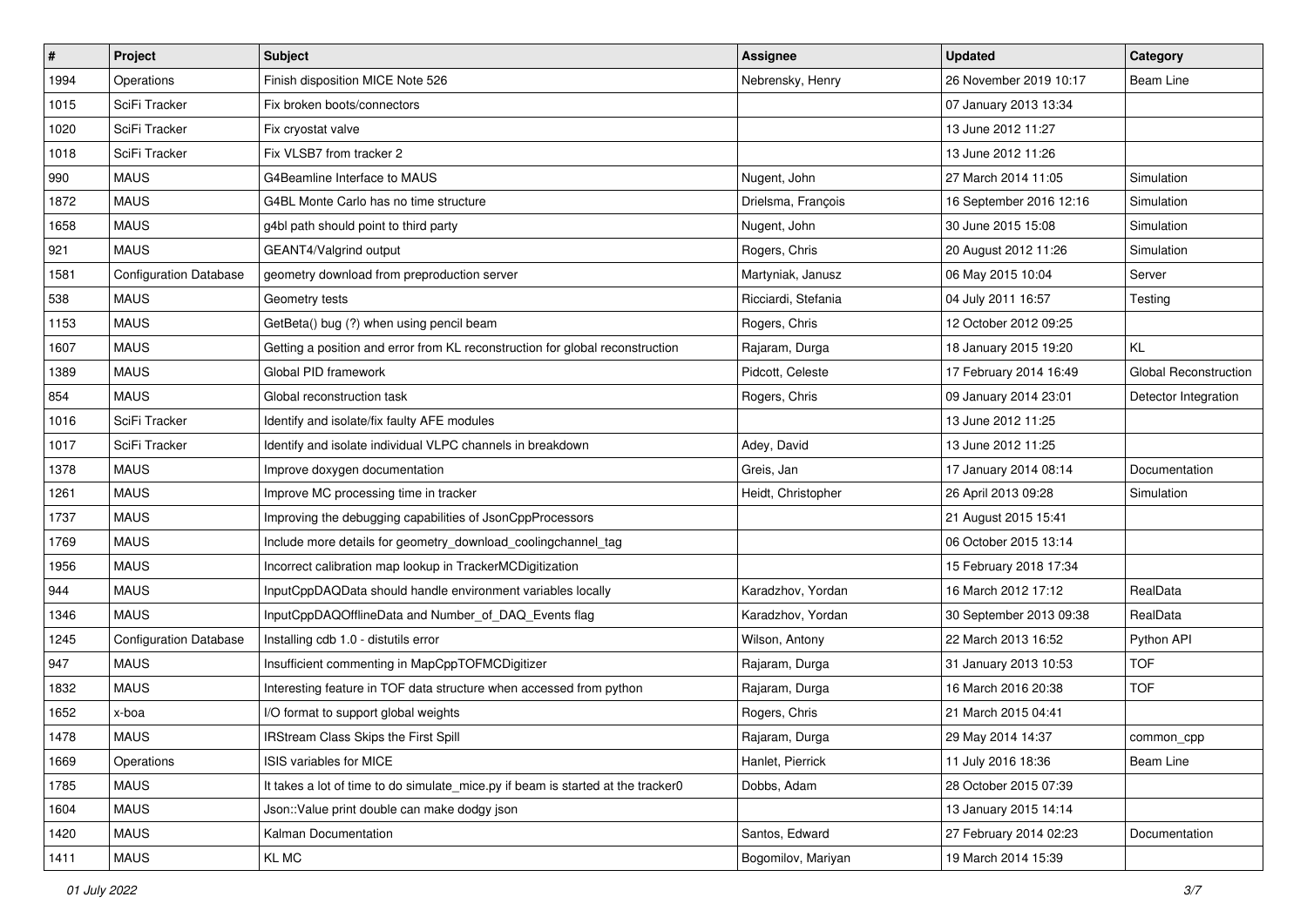| $\sharp$ | Project                       | <b>Subject</b>                                                                   | <b>Assignee</b>     | <b>Updated</b>          | Category              |
|----------|-------------------------------|----------------------------------------------------------------------------------|---------------------|-------------------------|-----------------------|
| 1994     | Operations                    | Finish disposition MICE Note 526                                                 | Nebrensky, Henry    | 26 November 2019 10:17  | Beam Line             |
| 1015     | SciFi Tracker                 | Fix broken boots/connectors                                                      |                     | 07 January 2013 13:34   |                       |
| 1020     | SciFi Tracker                 | Fix cryostat valve                                                               |                     | 13 June 2012 11:27      |                       |
| 1018     | SciFi Tracker                 | Fix VLSB7 from tracker 2                                                         |                     | 13 June 2012 11:26      |                       |
| 990      | <b>MAUS</b>                   | G4Beamline Interface to MAUS                                                     | Nugent, John        | 27 March 2014 11:05     | Simulation            |
| 1872     | <b>MAUS</b>                   | G4BL Monte Carlo has no time structure                                           | Drielsma, François  | 16 September 2016 12:16 | Simulation            |
| 1658     | <b>MAUS</b>                   | g4bl path should point to third party                                            | Nugent, John        | 30 June 2015 15:08      | Simulation            |
| 921      | <b>MAUS</b>                   | GEANT4/Valgrind output                                                           | Rogers, Chris       | 20 August 2012 11:26    | Simulation            |
| 1581     | <b>Configuration Database</b> | geometry download from preproduction server                                      | Martyniak, Janusz   | 06 May 2015 10:04       | Server                |
| 538      | <b>MAUS</b>                   | Geometry tests                                                                   | Ricciardi, Stefania | 04 July 2011 16:57      | Testing               |
| 1153     | <b>MAUS</b>                   | GetBeta() bug (?) when using pencil beam                                         | Rogers, Chris       | 12 October 2012 09:25   |                       |
| 1607     | <b>MAUS</b>                   | Getting a position and error from KL reconstruction for global reconstruction    | Rajaram, Durga      | 18 January 2015 19:20   | KL                    |
| 1389     | <b>MAUS</b>                   | Global PID framework                                                             | Pidcott, Celeste    | 17 February 2014 16:49  | Global Reconstruction |
| 854      | <b>MAUS</b>                   | Global reconstruction task                                                       | Rogers, Chris       | 09 January 2014 23:01   | Detector Integration  |
| 1016     | SciFi Tracker                 | Identify and isolate/fix faulty AFE modules                                      |                     | 13 June 2012 11:25      |                       |
| 1017     | SciFi Tracker                 | Identify and isolate individual VLPC channels in breakdown                       | Adey, David         | 13 June 2012 11:25      |                       |
| 1378     | <b>MAUS</b>                   | Improve doxygen documentation                                                    | Greis, Jan          | 17 January 2014 08:14   | Documentation         |
| 1261     | <b>MAUS</b>                   | Improve MC processing time in tracker                                            | Heidt, Christopher  | 26 April 2013 09:28     | Simulation            |
| 1737     | <b>MAUS</b>                   | Improving the debugging capabilities of JsonCppProcessors                        |                     | 21 August 2015 15:41    |                       |
| 1769     | <b>MAUS</b>                   | Include more details for geometry_download_coolingchannel_tag                    |                     | 06 October 2015 13:14   |                       |
| 1956     | <b>MAUS</b>                   | Incorrect calibration map lookup in TrackerMCDigitization                        |                     | 15 February 2018 17:34  |                       |
| 944      | <b>MAUS</b>                   | InputCppDAQData should handle environment variables locally                      | Karadzhov, Yordan   | 16 March 2012 17:12     | RealData              |
| 1346     | <b>MAUS</b>                   | InputCppDAQOfflineData and Number_of_DAQ_Events flag                             | Karadzhov, Yordan   | 30 September 2013 09:38 | RealData              |
| 1245     | <b>Configuration Database</b> | Installing cdb 1.0 - distutils error                                             | Wilson, Antony      | 22 March 2013 16:52     | Python API            |
| 947      | <b>MAUS</b>                   | Insufficient commenting in MapCppTOFMCDigitizer                                  | Rajaram, Durga      | 31 January 2013 10:53   | <b>TOF</b>            |
| 1832     | <b>MAUS</b>                   | Interesting feature in TOF data structure when accessed from python              | Rajaram, Durga      | 16 March 2016 20:38     | <b>TOF</b>            |
| 1652     | x-boa                         | I/O format to support global weights                                             | Rogers, Chris       | 21 March 2015 04:41     |                       |
| 1478     | <b>MAUS</b>                   | IRStream Class Skips the First Spill                                             | Rajaram, Durga      | 29 May 2014 14:37       | common_cpp            |
| 1669     | Operations                    | <b>ISIS variables for MICE</b>                                                   | Hanlet, Pierrick    | 11 July 2016 18:36      | Beam Line             |
| 1785     | <b>MAUS</b>                   | It takes a lot of time to do simulate_mice.py if beam is started at the tracker0 | Dobbs, Adam         | 28 October 2015 07:39   |                       |
| 1604     | <b>MAUS</b>                   | Json::Value print double can make dodgy json                                     |                     | 13 January 2015 14:14   |                       |
| 1420     | <b>MAUS</b>                   | Kalman Documentation                                                             | Santos, Edward      | 27 February 2014 02:23  | Documentation         |
| 1411     | <b>MAUS</b>                   | KL MC                                                                            | Bogomilov, Mariyan  | 19 March 2014 15:39     |                       |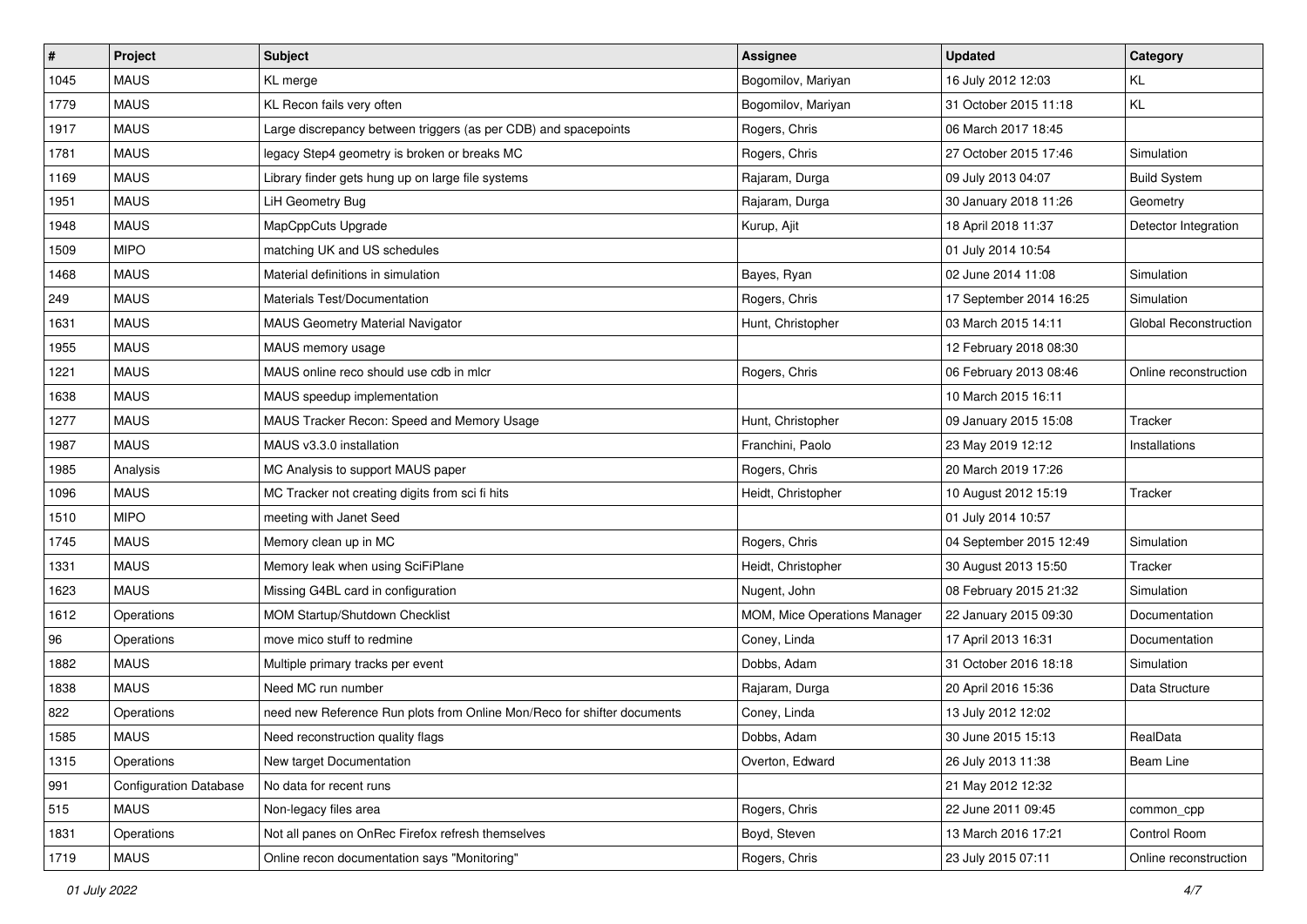| $\vert$ # | Project                       | <b>Subject</b>                                                          | <b>Assignee</b>              | <b>Updated</b>          | Category              |
|-----------|-------------------------------|-------------------------------------------------------------------------|------------------------------|-------------------------|-----------------------|
| 1045      | <b>MAUS</b>                   | KL merge                                                                | Bogomilov, Mariyan           | 16 July 2012 12:03      | KL                    |
| 1779      | <b>MAUS</b>                   | KL Recon fails very often                                               | Bogomilov, Mariyan           | 31 October 2015 11:18   | KL                    |
| 1917      | <b>MAUS</b>                   | Large discrepancy between triggers (as per CDB) and spacepoints         | Rogers, Chris                | 06 March 2017 18:45     |                       |
| 1781      | <b>MAUS</b>                   | legacy Step4 geometry is broken or breaks MC                            | Rogers, Chris                | 27 October 2015 17:46   | Simulation            |
| 1169      | <b>MAUS</b>                   | Library finder gets hung up on large file systems                       | Rajaram, Durga               | 09 July 2013 04:07      | <b>Build System</b>   |
| 1951      | <b>MAUS</b>                   | LiH Geometry Bug                                                        | Rajaram, Durga               | 30 January 2018 11:26   | Geometry              |
| 1948      | <b>MAUS</b>                   | MapCppCuts Upgrade                                                      | Kurup, Ajit                  | 18 April 2018 11:37     | Detector Integration  |
| 1509      | <b>MIPO</b>                   | matching UK and US schedules                                            |                              | 01 July 2014 10:54      |                       |
| 1468      | <b>MAUS</b>                   | Material definitions in simulation                                      | Bayes, Ryan                  | 02 June 2014 11:08      | Simulation            |
| 249       | <b>MAUS</b>                   | Materials Test/Documentation                                            | Rogers, Chris                | 17 September 2014 16:25 | Simulation            |
| 1631      | <b>MAUS</b>                   | <b>MAUS Geometry Material Navigator</b>                                 | Hunt, Christopher            | 03 March 2015 14:11     | Global Reconstruction |
| 1955      | <b>MAUS</b>                   | MAUS memory usage                                                       |                              | 12 February 2018 08:30  |                       |
| 1221      | <b>MAUS</b>                   | MAUS online reco should use cdb in mlcr                                 | Rogers, Chris                | 06 February 2013 08:46  | Online reconstruction |
| 1638      | <b>MAUS</b>                   | MAUS speedup implementation                                             |                              | 10 March 2015 16:11     |                       |
| 1277      | <b>MAUS</b>                   | MAUS Tracker Recon: Speed and Memory Usage                              | Hunt, Christopher            | 09 January 2015 15:08   | Tracker               |
| 1987      | <b>MAUS</b>                   | MAUS v3.3.0 installation                                                | Franchini, Paolo             | 23 May 2019 12:12       | Installations         |
| 1985      | Analysis                      | MC Analysis to support MAUS paper                                       | Rogers, Chris                | 20 March 2019 17:26     |                       |
| 1096      | <b>MAUS</b>                   | MC Tracker not creating digits from sci fi hits                         | Heidt, Christopher           | 10 August 2012 15:19    | Tracker               |
| 1510      | <b>MIPO</b>                   | meeting with Janet Seed                                                 |                              | 01 July 2014 10:57      |                       |
| 1745      | <b>MAUS</b>                   | Memory clean up in MC                                                   | Rogers, Chris                | 04 September 2015 12:49 | Simulation            |
| 1331      | <b>MAUS</b>                   | Memory leak when using SciFiPlane                                       | Heidt, Christopher           | 30 August 2013 15:50    | Tracker               |
| 1623      | <b>MAUS</b>                   | Missing G4BL card in configuration                                      | Nugent, John                 | 08 February 2015 21:32  | Simulation            |
| 1612      | Operations                    | MOM Startup/Shutdown Checklist                                          | MOM, Mice Operations Manager | 22 January 2015 09:30   | Documentation         |
| 96        | Operations                    | move mico stuff to redmine                                              | Coney, Linda                 | 17 April 2013 16:31     | Documentation         |
| 1882      | <b>MAUS</b>                   | Multiple primary tracks per event                                       | Dobbs, Adam                  | 31 October 2016 18:18   | <b>Simulation</b>     |
| 1838      | <b>MAUS</b>                   | Need MC run number                                                      | Rajaram, Durga               | 20 April 2016 15:36     | Data Structure        |
| 822       | Operations                    | need new Reference Run plots from Online Mon/Reco for shifter documents | Coney, Linda                 | 13 July 2012 12:02      |                       |
| 1585      | <b>MAUS</b>                   | Need reconstruction quality flags                                       | Dobbs, Adam                  | 30 June 2015 15:13      | RealData              |
| 1315      | Operations                    | New target Documentation                                                | Overton, Edward              | 26 July 2013 11:38      | Beam Line             |
| 991       | <b>Configuration Database</b> | No data for recent runs                                                 |                              | 21 May 2012 12:32       |                       |
| 515       | <b>MAUS</b>                   | Non-legacy files area                                                   | Rogers, Chris                | 22 June 2011 09:45      | common_cpp            |
| 1831      | Operations                    | Not all panes on OnRec Firefox refresh themselves                       | Boyd, Steven                 | 13 March 2016 17:21     | Control Room          |
| 1719      | <b>MAUS</b>                   | Online recon documentation says "Monitoring"                            | Rogers, Chris                | 23 July 2015 07:11      | Online reconstruction |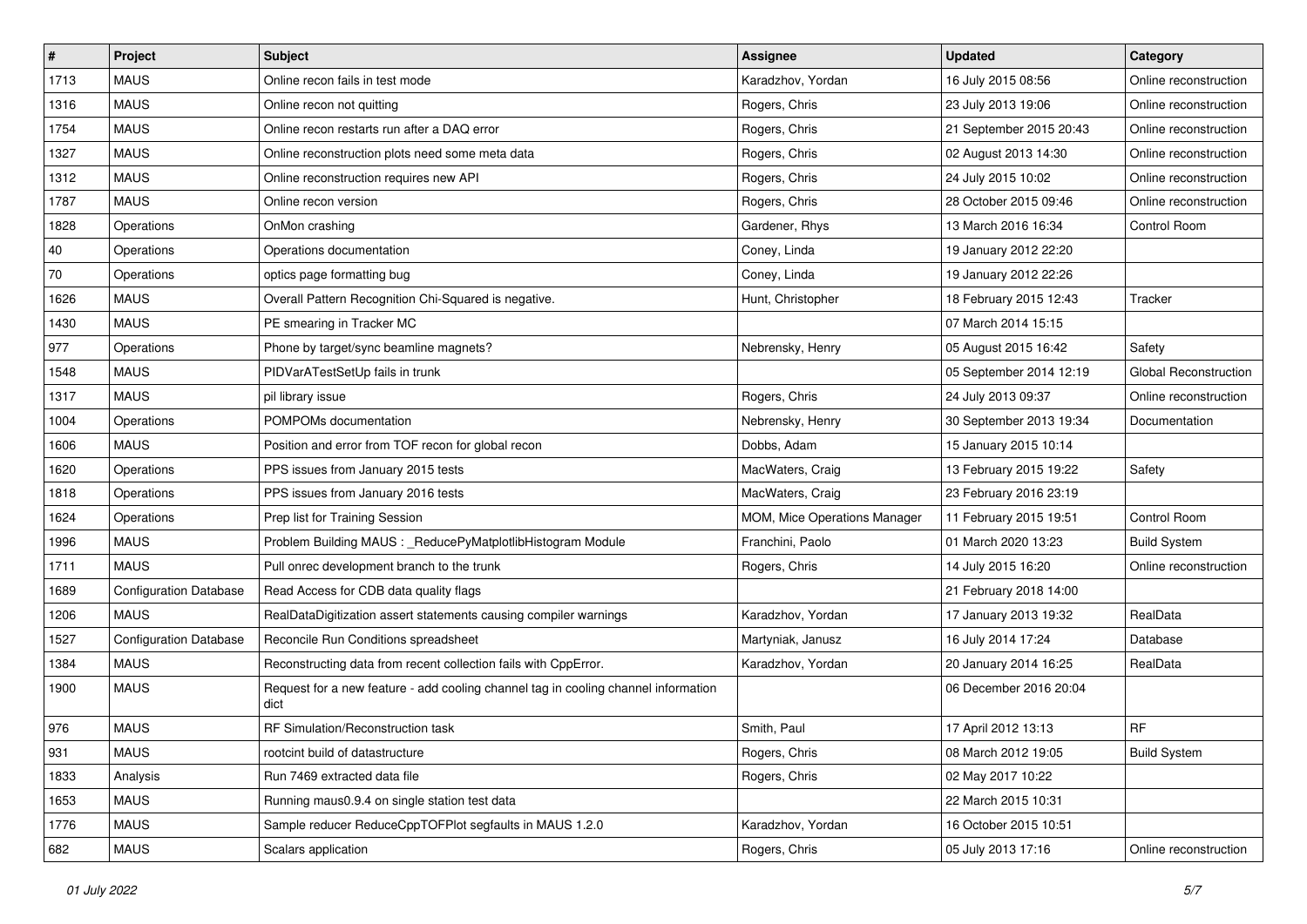| $\vert$ # | Project                       | Subject                                                                                    | Assignee                     | <b>Updated</b>          | Category              |
|-----------|-------------------------------|--------------------------------------------------------------------------------------------|------------------------------|-------------------------|-----------------------|
| 1713      | <b>MAUS</b>                   | Online recon fails in test mode                                                            | Karadzhov, Yordan            | 16 July 2015 08:56      | Online reconstruction |
| 1316      | <b>MAUS</b>                   | Online recon not quitting                                                                  | Rogers, Chris                | 23 July 2013 19:06      | Online reconstruction |
| 1754      | <b>MAUS</b>                   | Online recon restarts run after a DAQ error                                                | Rogers, Chris                | 21 September 2015 20:43 | Online reconstruction |
| 1327      | <b>MAUS</b>                   | Online reconstruction plots need some meta data                                            | Rogers, Chris                | 02 August 2013 14:30    | Online reconstruction |
| 1312      | <b>MAUS</b>                   | Online reconstruction requires new API                                                     | Rogers, Chris                | 24 July 2015 10:02      | Online reconstruction |
| 1787      | <b>MAUS</b>                   | Online recon version                                                                       | Rogers, Chris                | 28 October 2015 09:46   | Online reconstruction |
| 1828      | Operations                    | OnMon crashing                                                                             | Gardener, Rhys               | 13 March 2016 16:34     | Control Room          |
| 40        | Operations                    | Operations documentation                                                                   | Coney, Linda                 | 19 January 2012 22:20   |                       |
| 70        | Operations                    | optics page formatting bug                                                                 | Coney, Linda                 | 19 January 2012 22:26   |                       |
| 1626      | <b>MAUS</b>                   | Overall Pattern Recognition Chi-Squared is negative.                                       | Hunt, Christopher            | 18 February 2015 12:43  | Tracker               |
| 1430      | <b>MAUS</b>                   | PE smearing in Tracker MC                                                                  |                              | 07 March 2014 15:15     |                       |
| 977       | Operations                    | Phone by target/sync beamline magnets?                                                     | Nebrensky, Henry             | 05 August 2015 16:42    | Safety                |
| 1548      | <b>MAUS</b>                   | PIDVarATestSetUp fails in trunk                                                            |                              | 05 September 2014 12:19 | Global Reconstruction |
| 1317      | <b>MAUS</b>                   | pil library issue                                                                          | Rogers, Chris                | 24 July 2013 09:37      | Online reconstruction |
| 1004      | Operations                    | POMPOMs documentation                                                                      | Nebrensky, Henry             | 30 September 2013 19:34 | Documentation         |
| 1606      | <b>MAUS</b>                   | Position and error from TOF recon for global recon                                         | Dobbs, Adam                  | 15 January 2015 10:14   |                       |
| 1620      | Operations                    | PPS issues from January 2015 tests                                                         | MacWaters, Craig             | 13 February 2015 19:22  | Safety                |
| 1818      | Operations                    | PPS issues from January 2016 tests                                                         | MacWaters, Craig             | 23 February 2016 23:19  |                       |
| 1624      | Operations                    | Prep list for Training Session                                                             | MOM, Mice Operations Manager | 11 February 2015 19:51  | Control Room          |
| 1996      | <b>MAUS</b>                   | Problem Building MAUS : _ReducePyMatplotlibHistogram Module                                | Franchini, Paolo             | 01 March 2020 13:23     | <b>Build System</b>   |
| 1711      | <b>MAUS</b>                   | Pull onrec development branch to the trunk                                                 | Rogers, Chris                | 14 July 2015 16:20      | Online reconstruction |
| 1689      | <b>Configuration Database</b> | Read Access for CDB data quality flags                                                     |                              | 21 February 2018 14:00  |                       |
| 1206      | <b>MAUS</b>                   | RealDataDigitization assert statements causing compiler warnings                           | Karadzhov, Yordan            | 17 January 2013 19:32   | RealData              |
| 1527      | <b>Configuration Database</b> | Reconcile Run Conditions spreadsheet                                                       | Martyniak, Janusz            | 16 July 2014 17:24      | Database              |
| 1384      | <b>MAUS</b>                   | Reconstructing data from recent collection fails with CppError.                            | Karadzhov, Yordan            | 20 January 2014 16:25   | RealData              |
| 1900      | <b>MAUS</b>                   | Request for a new feature - add cooling channel tag in cooling channel information<br>dict |                              | 06 December 2016 20:04  |                       |
| 976       | <b>MAUS</b>                   | RF Simulation/Reconstruction task                                                          | Smith, Paul                  | 17 April 2012 13:13     | RF                    |
| 931       | <b>MAUS</b>                   | rootcint build of datastructure                                                            | Rogers, Chris                | 08 March 2012 19:05     | <b>Build System</b>   |
| 1833      | Analysis                      | Run 7469 extracted data file                                                               | Rogers, Chris                | 02 May 2017 10:22       |                       |
| 1653      | <b>MAUS</b>                   | Running maus0.9.4 on single station test data                                              |                              | 22 March 2015 10:31     |                       |
| 1776      | <b>MAUS</b>                   | Sample reducer ReduceCppTOFPlot segfaults in MAUS 1.2.0                                    | Karadzhov, Yordan            | 16 October 2015 10:51   |                       |
| 682       | <b>MAUS</b>                   | Scalars application                                                                        | Rogers, Chris                | 05 July 2013 17:16      | Online reconstruction |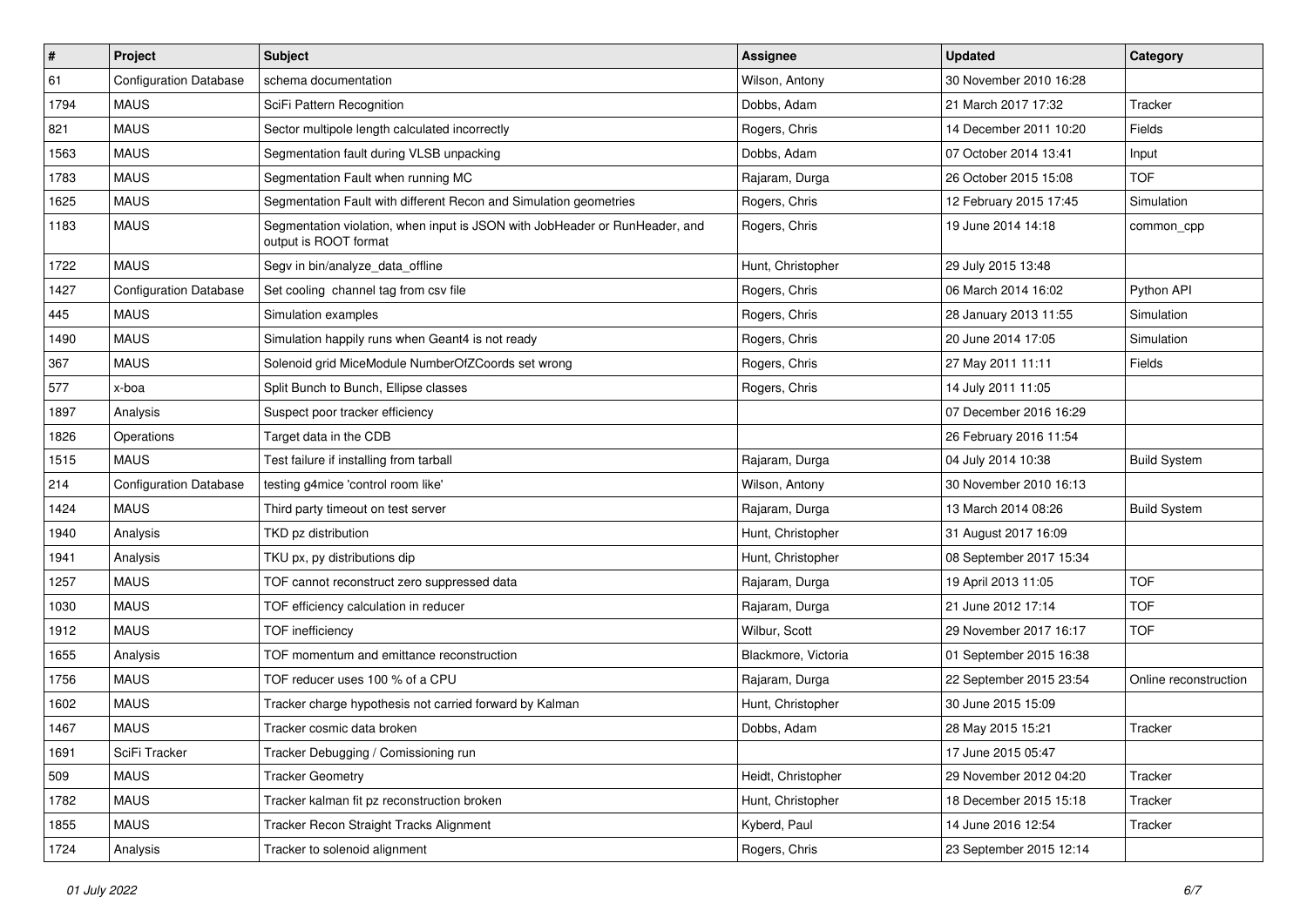| $\vert$ # | Project                       | Subject                                                                                              | <b>Assignee</b>     | <b>Updated</b>          | Category              |
|-----------|-------------------------------|------------------------------------------------------------------------------------------------------|---------------------|-------------------------|-----------------------|
| 61        | <b>Configuration Database</b> | schema documentation                                                                                 | Wilson, Antony      | 30 November 2010 16:28  |                       |
| 1794      | <b>MAUS</b>                   | SciFi Pattern Recognition                                                                            | Dobbs, Adam         | 21 March 2017 17:32     | Tracker               |
| 821       | <b>MAUS</b>                   | Sector multipole length calculated incorrectly                                                       | Rogers, Chris       | 14 December 2011 10:20  | Fields                |
| 1563      | <b>MAUS</b>                   | Segmentation fault during VLSB unpacking                                                             | Dobbs, Adam         | 07 October 2014 13:41   | Input                 |
| 1783      | <b>MAUS</b>                   | Segmentation Fault when running MC                                                                   | Rajaram, Durga      | 26 October 2015 15:08   | <b>TOF</b>            |
| 1625      | <b>MAUS</b>                   | Segmentation Fault with different Recon and Simulation geometries                                    | Rogers, Chris       | 12 February 2015 17:45  | Simulation            |
| 1183      | <b>MAUS</b>                   | Segmentation violation, when input is JSON with JobHeader or RunHeader, and<br>output is ROOT format | Rogers, Chris       | 19 June 2014 14:18      | common cpp            |
| 1722      | <b>MAUS</b>                   | Segv in bin/analyze_data_offline                                                                     | Hunt, Christopher   | 29 July 2015 13:48      |                       |
| 1427      | <b>Configuration Database</b> | Set cooling channel tag from csv file                                                                | Rogers, Chris       | 06 March 2014 16:02     | Python API            |
| 445       | <b>MAUS</b>                   | Simulation examples                                                                                  | Rogers, Chris       | 28 January 2013 11:55   | Simulation            |
| 1490      | <b>MAUS</b>                   | Simulation happily runs when Geant4 is not ready                                                     | Rogers, Chris       | 20 June 2014 17:05      | Simulation            |
| 367       | <b>MAUS</b>                   | Solenoid grid MiceModule NumberOfZCoords set wrong                                                   | Rogers, Chris       | 27 May 2011 11:11       | Fields                |
| 577       | x-boa                         | Split Bunch to Bunch, Ellipse classes                                                                | Rogers, Chris       | 14 July 2011 11:05      |                       |
| 1897      | Analysis                      | Suspect poor tracker efficiency                                                                      |                     | 07 December 2016 16:29  |                       |
| 1826      | Operations                    | Target data in the CDB                                                                               |                     | 26 February 2016 11:54  |                       |
| 1515      | <b>MAUS</b>                   | Test failure if installing from tarball                                                              | Rajaram, Durga      | 04 July 2014 10:38      | <b>Build System</b>   |
| 214       | <b>Configuration Database</b> | testing g4mice 'control room like'                                                                   | Wilson, Antony      | 30 November 2010 16:13  |                       |
| 1424      | <b>MAUS</b>                   | Third party timeout on test server                                                                   | Rajaram, Durga      | 13 March 2014 08:26     | <b>Build System</b>   |
| 1940      | Analysis                      | TKD pz distribution                                                                                  | Hunt, Christopher   | 31 August 2017 16:09    |                       |
| 1941      | Analysis                      | TKU px, py distributions dip                                                                         | Hunt, Christopher   | 08 September 2017 15:34 |                       |
| 1257      | <b>MAUS</b>                   | TOF cannot reconstruct zero suppressed data                                                          | Rajaram, Durga      | 19 April 2013 11:05     | <b>TOF</b>            |
| 1030      | <b>MAUS</b>                   | TOF efficiency calculation in reducer                                                                | Rajaram, Durga      | 21 June 2012 17:14      | <b>TOF</b>            |
| 1912      | <b>MAUS</b>                   | <b>TOF</b> inefficiency                                                                              | Wilbur, Scott       | 29 November 2017 16:17  | <b>TOF</b>            |
| 1655      | Analysis                      | TOF momentum and emittance reconstruction                                                            | Blackmore, Victoria | 01 September 2015 16:38 |                       |
| 1756      | <b>MAUS</b>                   | TOF reducer uses 100 % of a CPU                                                                      | Rajaram, Durga      | 22 September 2015 23:54 | Online reconstruction |
| 1602      | <b>MAUS</b>                   | Tracker charge hypothesis not carried forward by Kalman                                              | Hunt, Christopher   | 30 June 2015 15:09      |                       |
| 1467      | <b>MAUS</b>                   | Tracker cosmic data broken                                                                           | Dobbs, Adam         | 28 May 2015 15:21       | Tracker               |
| 1691      | SciFi Tracker                 | Tracker Debugging / Comissioning run                                                                 |                     | 17 June 2015 05:47      |                       |
| 509       | <b>MAUS</b>                   | <b>Tracker Geometry</b>                                                                              | Heidt, Christopher  | 29 November 2012 04:20  | Tracker               |
| 1782      | <b>MAUS</b>                   | Tracker kalman fit pz reconstruction broken                                                          | Hunt, Christopher   | 18 December 2015 15:18  | Tracker               |
| 1855      | <b>MAUS</b>                   | Tracker Recon Straight Tracks Alignment                                                              | Kyberd, Paul        | 14 June 2016 12:54      | Tracker               |
| 1724      | Analysis                      | Tracker to solenoid alignment                                                                        | Rogers, Chris       | 23 September 2015 12:14 |                       |